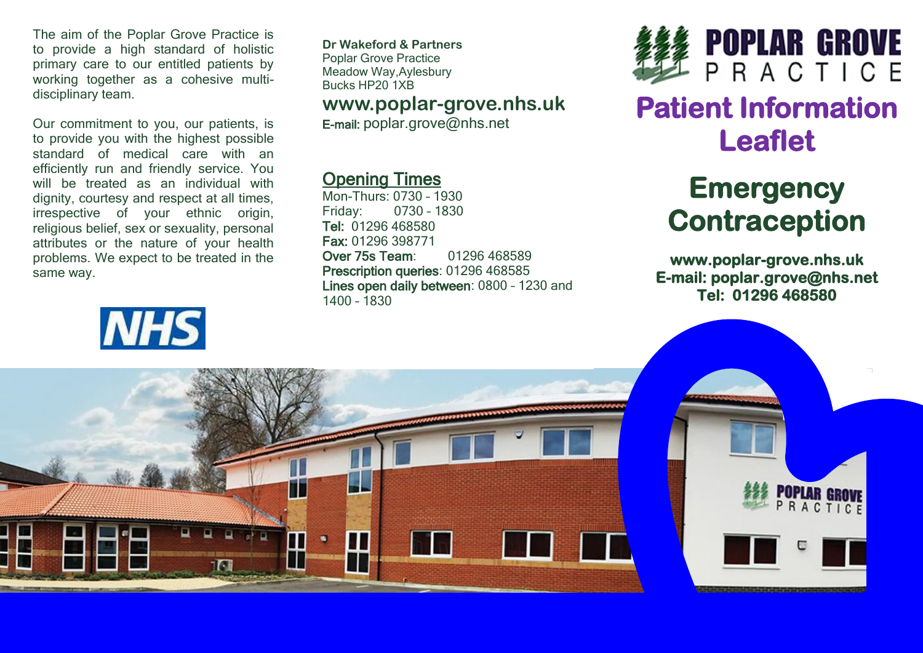The aim of the Poplar Grove Practice is to provide a high standard of holistic primary care to our entitled patients by working together as a cohesive multidisciplinary team.

Our commitment to you, our patients, is to provide you with the highest possible standard of medical care with an efficiently run and friendly service. You will be treated as an individual with dignity, courtesy and respect at all times, irrespective of your ethnic origin, religious belief, sex or sexuality, personal attributes or the nature of your health problems. We expect to be treated in the same way.



**Dr Wakeford & Partners** Poplar Grove Practice Meadow Way,Aylesbury Bucks HP20 1XB

### **www.poplar-grove.nhs.uk**

E-mail: [poplar.grove@nhs.net](mailto:poplar.grove@nhs.net)

## Opening Times

Mon-Thurs: 0730 – 1930 Friday: 0730 – 1830 Tel: 01296 468580 Fax: 01296 398771 Over 75s Team: 01296 468589 Prescription queries: 01296 468585 Lines open daily between: 0800 – 1230 and 1400 – 1830



## **Patient Information Leaflet**

# **Emergency Contraception**

**www.poplar-grove.nhs.uk E-mail: poplar.grove@nhs.net Tel: 01296 468580**